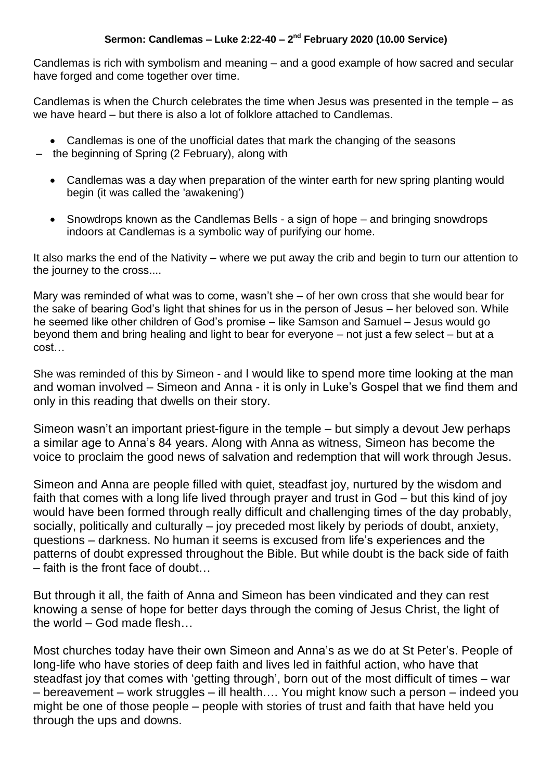Candlemas is rich with symbolism and meaning – and a good example of how sacred and secular have forged and come together over time.

Candlemas is when the Church celebrates the time when Jesus was presented in the temple – as we have heard – but there is also a lot of folklore attached to Candlemas.

- Candlemas is one of the unofficial dates that mark the changing of the seasons
- the beginning of Spring (2 February), along with
	- Candlemas was a day when preparation of the winter earth for new spring planting would begin (it was called the 'awakening')
	- Snowdrops known as the Candlemas Bells a sign of hope and bringing snowdrops indoors at Candlemas is a symbolic way of purifying our home.

It also marks the end of the Nativity – where we put away the crib and begin to turn our attention to the journey to the cross....

Mary was reminded of what was to come, wasn't she – of her own cross that she would bear for the sake of bearing God's light that shines for us in the person of Jesus – her beloved son. While he seemed like other children of God's promise – like Samson and Samuel – Jesus would go beyond them and bring healing and light to bear for everyone – not just a few select – but at a cost…

She was reminded of this by Simeon - and I would like to spend more time looking at the man and woman involved – Simeon and Anna - it is only in Luke's Gospel that we find them and only in this reading that dwells on their story.

Simeon wasn't an important priest-figure in the temple – but simply a devout Jew perhaps a similar age to Anna's 84 years. Along with Anna as witness, Simeon has become the voice to proclaim the good news of salvation and redemption that will work through Jesus.

Simeon and Anna are people filled with quiet, steadfast joy, nurtured by the wisdom and faith that comes with a long life lived through prayer and trust in God – but this kind of joy would have been formed through really difficult and challenging times of the day probably, socially, politically and culturally – joy preceded most likely by periods of doubt, anxiety, questions – darkness. No human it seems is excused from life's experiences and the patterns of doubt expressed throughout the Bible. But while doubt is the back side of faith – faith is the front face of doubt…

But through it all, the faith of Anna and Simeon has been vindicated and they can rest knowing a sense of hope for better days through the coming of Jesus Christ, the light of the world – God made flesh…

Most churches today have their own Simeon and Anna's as we do at St Peter's. People of long-life who have stories of deep faith and lives led in faithful action, who have that steadfast joy that comes with 'getting through', born out of the most difficult of times – war – bereavement – work struggles – ill health…. You might know such a person – indeed you might be one of those people – people with stories of trust and faith that have held you through the ups and downs.